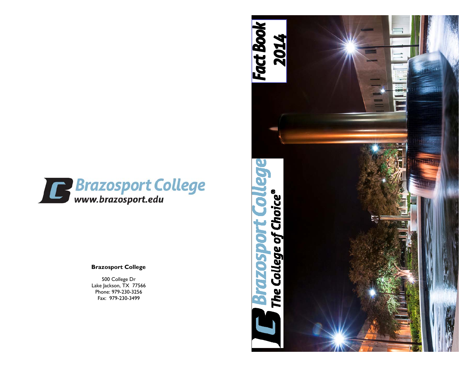

### **Brazosport College**

500 College Dr Lake Jackson, TX 77566 Phone: 979-230-3256 Fax: 979-230-3499

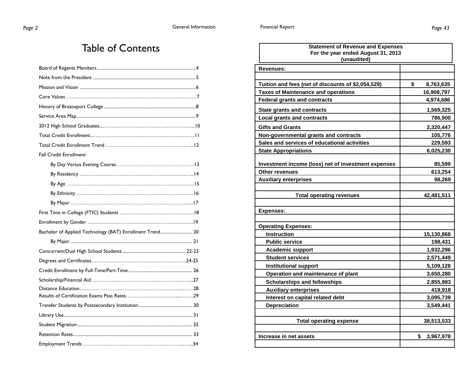### Table of Contents

| <b>Fall Credit Enrollment</b>                            |
|----------------------------------------------------------|
|                                                          |
|                                                          |
|                                                          |
|                                                          |
|                                                          |
|                                                          |
|                                                          |
| Bachelor of Applied Technology (BAT) Enrollment Trend 20 |
|                                                          |
|                                                          |
|                                                          |
|                                                          |
|                                                          |
|                                                          |
|                                                          |
|                                                          |
|                                                          |
|                                                          |
|                                                          |
|                                                          |

| <b>Statement of Revenue and Expenses</b><br>For the year ended August 31, 2013<br>(unaudited) |                 |
|-----------------------------------------------------------------------------------------------|-----------------|
| <b>Revenues:</b>                                                                              |                 |
| Tuition and fees (net of discounts of \$2,054,529)                                            | \$<br>8,763,635 |
| <b>Taxes of Maintenance and operations</b>                                                    | 16,908,797      |
| <b>Federal grants and contracts</b>                                                           | 4,974,686       |
| <b>State grants and contracts</b>                                                             | 1,569,325       |
| <b>Local grants and contracts</b>                                                             | 786,900         |
| <b>Gifts and Grants</b>                                                                       | 2,320,447       |
| Non-governmental grants and contracts                                                         | 105,776         |
| Sales and services of educational activities                                                  | 229,593         |
| <b>State Appropriations</b>                                                                   | 6,025,230       |
|                                                                                               |                 |
| Investment income (loss) net of investment expenses                                           | 85,599          |
| <b>Other revenues</b>                                                                         | 613,254         |
| <b>Auxiliary enterprises</b>                                                                  | 98,269          |
| <b>Total operating revenues</b>                                                               | 42,481,511      |
|                                                                                               |                 |
| <b>Expenses:</b>                                                                              |                 |
|                                                                                               |                 |
| <b>Operating Expenses:</b>                                                                    |                 |
| <b>Instruction</b>                                                                            | 15,130,868      |
| <b>Public service</b>                                                                         | 198,431         |
| <b>Academic support</b>                                                                       | 1,932,296       |
| <b>Student services</b>                                                                       | 2,571,449       |
| <b>Institutional support</b>                                                                  | 5,109,128       |
| Operation and maintenance of plant                                                            | 3,650,280       |
| <b>Scholarships and fellowships</b>                                                           | 2,855,983       |
| <b>Auxiliary enterprises</b>                                                                  | 419,918         |
| Interest on capital related debt                                                              | 3,095,739       |
| <b>Depreciation</b>                                                                           | 3,549,441       |
| <b>Total operating expense</b>                                                                | 38,513,533      |
| Increase in net assets                                                                        | \$<br>3,967,978 |
|                                                                                               |                 |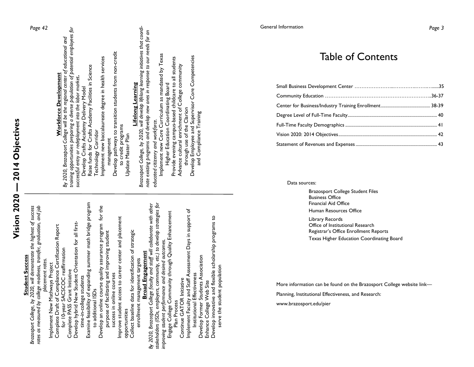|                        | Page 42                                                                                                                                                           | Workforce Development                                                               | By 2020, Brazosport College will be the regional center of educational and | training opportunities preparing a diverse population of potential employees for<br>successful entry or redeployment into the labor market. | Develop Crafts Academy Delivery Model | Raise funds for Crafts Academy Facilities in Science<br>Technology Corridor       | Implement new baccalaureate degree in health services      | management                                    | Develop pathways to transition students from non-credit | to credit programs                                        | Update Master Plan | Lifelong Learning                                     | Brazosport College, by 2020, will develop lifelong learning initiatives that coordi- |                         | nate existing programs and develop new ones in response to our needs for an | Implement new Core Curriculum as mandated by Texas<br>educated citizenry and workforce. |                                                     | Higher Education Coordinating Board                                  | Provide evening campus-based childcare to all students | Advance cultural enrichment of College community | through use of the Clarion                                | Develop Employee and Supervisor Core Competencies | and Compliance Training             |                          |                                                         |
|------------------------|-------------------------------------------------------------------------------------------------------------------------------------------------------------------|-------------------------------------------------------------------------------------|----------------------------------------------------------------------------|---------------------------------------------------------------------------------------------------------------------------------------------|---------------------------------------|-----------------------------------------------------------------------------------|------------------------------------------------------------|-----------------------------------------------|---------------------------------------------------------|-----------------------------------------------------------|--------------------|-------------------------------------------------------|--------------------------------------------------------------------------------------|-------------------------|-----------------------------------------------------------------------------|-----------------------------------------------------------------------------------------|-----------------------------------------------------|----------------------------------------------------------------------|--------------------------------------------------------|--------------------------------------------------|-----------------------------------------------------------|---------------------------------------------------|-------------------------------------|--------------------------|---------------------------------------------------------|
| <b>Student Success</b> | Brazosport College, by 2020, will demonstrate the highest of success<br>rates as measured by college readiness, transfer, graduation, and job<br>placement rates. | Complete Draft of Compliance Certification Report<br>Implement New Mathways Project | for 10-year SACSCOC reaffirmation                                          | Develop hybrid New Student Orientation for all first-<br>Complete PASS Grant Initiative                                                     | time-in-college students              | Examine feasibility of expanding summer math bridge program<br>to additional ISDs | Develop an online course quality assurance program for the | purpose of facilitating and improving student | success in online courses                               | ess to career center and placement<br>Improve student acc | opportunities      | Collect baseline data for identification of strategic | enrollment management targets                                                        | <b>Broad Engagement</b> | By 2020, Brazosport College faculty and staff will collaborate with other   | stakeholders (ISDs, employers, community, etc.) to develop strategies for               | improving student performance and desired outcomes. | Engage College Community through Quality Enhancement<br>Plan Process |                                                        | nitiative<br>Continue GATOR I                    | Implement Faculty and Staff Assessment Days in support of | Institutional Effectiveness                       | Develop Former Students Association | Enhance College Web Site | Develop innovative and flexible scholarship programs to |

**Vision 2020 — 2014 Objectives** 

Vision 2020 - 2014 Objectives

*Page 42* 

### General Information *Page 3*

### Table of Contents

Data sources:

 Brazosport College Student Files Business Office Financial Aid Office Human Resources Office

 Library Records Office of Institutional Research Registrar's Office Enrollment Reports Texas Higher Education Coordinating Board

More information can be found on the Brazosport College website link—

Planning, Institutional Effectiveness, and Research:

www.brazosport.edu/pier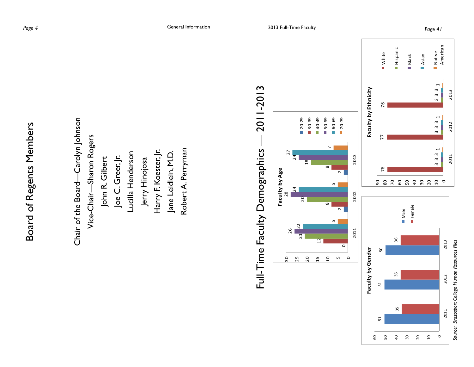Chair of the Board—Carolyn Johnson Chair of the Board-Carolyn Johnson Vice-Chair—Sharon Rogers Vice-Chair-Sharon Rogers Robert A. Perryman Harry F. Koester, Jr. Robert A. Perryman Lucilla Henderson Jane Leidlein, M.D. Harry F. Koester, Jr. Lucilla Henderson Jane Leidlein, M.D. Joe C. Greer, Jr. John R. Gilbert Joe C. Greer, Jr. Jerry Hinojosa John R. Gilbert Jerry Hinojosa

### Full-Time Faculty Demographics — 2011-2013 2011-2013 Full-Time Faculty Demographics -



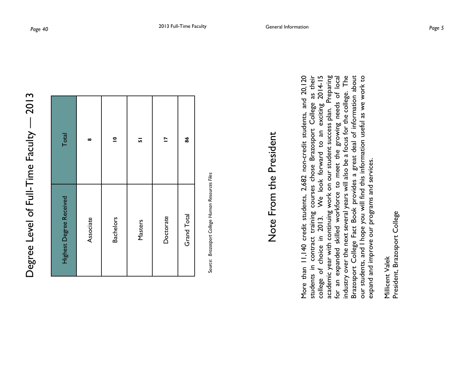| $\frac{1}{3}$                                      |
|----------------------------------------------------|
| $\mathbf{S}$                                       |
|                                                    |
|                                                    |
|                                                    |
|                                                    |
|                                                    |
| ニコド                                                |
|                                                    |
|                                                    |
| $\frac{D}{D}$<br>į                                 |
|                                                    |
| ŀ                                                  |
|                                                    |
|                                                    |
|                                                    |
| $\overline{1}$<br>Í                                |
| $\ddot{\phantom{a}}$                               |
| $\overline{5}$                                     |
|                                                    |
|                                                    |
|                                                    |
| <b>Level</b>                                       |
|                                                    |
|                                                    |
| ノンマ<br>)                                           |
| くくいく<br>ň<br>$\mathbf$<br>$\overline{\phantom{a}}$ |

| Total                   | $\infty$  | $\overline{\mathbf{C}}$ | 5       | Ĕ         | 86                 |
|-------------------------|-----------|-------------------------|---------|-----------|--------------------|
| Highest Degree Received | Associate | <b>Bachelors</b>        | Masters | Doctorate | <b>Grand Total</b> |

Source: Brazosport College Human Resources Files S*ource: Brazosport College Human Resources Files*

### Note From the President Note From the President

exciting 2014-15<br>sss plan. Preparing More than 11,140 credit students, 2,682 non-credit students, and 20,120 students in contract training courses chose Brazosport College as their college of choice in 2013. We look forward to an exciting 2014-15 academic year with continuing work on our student success plan. Preparing for an expanded skilled workforce to meet the growing needs of local industry over the next several years will also be a focus for the college. The Brazosport College Fact Book provides a great deal of information about our students, and I hope you will find this information useful as we work to More than 11,140 credit students, 2,682 non-credit students, and 20,120 contract training courses chose Brazosport College as their for an expanded skilled workforce to meet the growing needs of local industry over the next several years will also be a focus for the college. The Brazosport College Fact Book provides a great deal of information about our students, and I hope you will find this information useful as we work to academic year with continuing work on our student success plan. We look forward to an expand and improve our programs and services. expand and improve our programs and services. of choice in 2013. students in college o

President, Brazosport College President, Brazosport College Millicent Valek Millicent Valek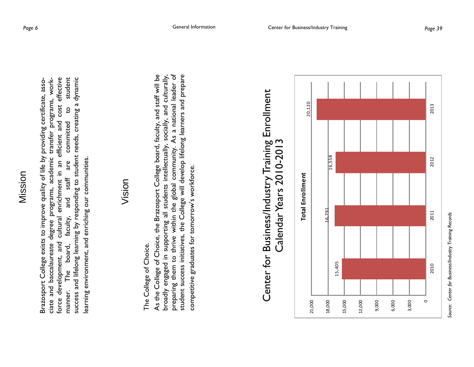force development, and cultural enrichment in an efficient and cost effective manner. The board, faculty, and staff are committed to student success and lifelong learning by responding to student needs, creating a dynamic force development, and cultural enrichment in an efficient and cost effective success and lifelong learning by responding to student needs, creating a dynamic ciate and baccalaureate degree programs, academic transfer programs, workstudent Brazosport College exists to improve quality of life by providing certificate, asso-Brazosport College exists to improve quality of life by providing certificate, associate and baccalaureate degree programs, academic transfer programs, work- $\overline{c}$ committed learning environment, and enriching our communities. learning environment, and enriching our communities. are  $star$ and faculty, The board, manner.

### Vision

The College of Choice. The College of Choice.

As the College of Choice, the Brazosport College board, faculty, and staff will be broadly engaged in supporting all students intellectually, socially, and culturally, preparing them to thrive within the global community. As a national leader of student success initiatives, the College will develop lifelong learners and prepare As the College of Choice, the Brazosport College board, faculty, and staff will be preparing them to thrive within the global community. As a national leader of student success initiatives, the College will develop lifelong learners and prepare broadly engaged in supporting all students intellectually, socially, and culturally, competitive graduates for tomorrow's workforce. competitive graduates for tomorrow's workforce.

## Center for Business/Industry Training Enrollment Center for Business/Industry Training Enrollment<br>Calendar Years 2010-2013 Calendar Years 2010-2013



*Source: Center for Business/Industry Training Records*  Center for Business/Industry Training Records Source: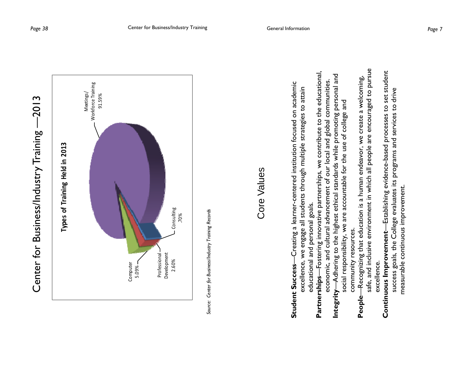

*Source: Center for Business/Industry Training Records*  Source: Center for Business/Industry Training Records

### Core Values Core Values

- **Student Success**—Creating a learner-centered institution focused on academic Creating a learner-centered institution focused on academic excellence, we engage all students through multiple strategies to attain excellence, we engage all students through multiple strategies to attain educational and personal goals. educational and personal goals. Student Success-
- **Partnerships**—Fostering innovative partnerships, we contribute to the educational, Partnerships--Fostering innovative partnerships, we contribute to the educational, economic, and cultural advancement of our local and global communities. economic, and cultural advancement of our local and global communities.
	- **Integrity**—Adhering to the highest ethical standards while promoting personal and -Adhering to the highest ethical standards while promoting personal and social responsibility, we are accountable for the use of college and social responsibility, we are accountable for the use of college and community resources. community resources. Integrity-
- safe, and inclusive environment in which all people are encouraged to pursue safe, and inclusive environment in which all people are encouraged to pursue **People**—Recognizing that education is a human endeavor, we create a welcoming, -Recognizing that education is a human endeavor, we create a welcoming, excellence. excellence. People-
	- **Continuous Improvement**—Establishing evidence-based processes to set student Continuous Improvement-Establishing evidence-based processes to set student success goals, the College evaluates its programs and services to drive success goals, the College evaluates its programs and services to drive measurable continuous improvement. measurable continuous improvement.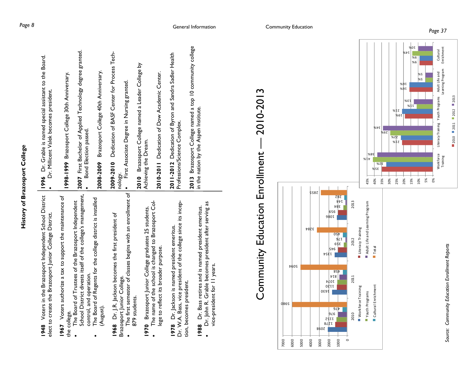1948 Voters in the Brazosport Independent School District **1948** Voters in the Brazosport Independent School District elect to create the Brazosport Junior College District. elect to create the Brazosport Junior College District. Voters authorize a tax to support the maintenance of **1967** Voters authorize a tax to support the maintenance of the college. the college. 1967

- School District divests itself of the college's management, School District divests itself of the college's management, The Board of Trustees of the Brazosport Independent The Board of Trustees of the Brazosport Independent control, and operation. control, and operation.  $\overline{\phantom{a}}$ 
	- The Board of Regents for the college district is installed The Board of Regents for the college district is installed (August).

**1968** Dr. J.R. Jackson becomes the first president of Dr. J.R. Jackson becomes the first president of Brazosport Junior College. Brazosport Junior College. 1968

- The first semester of classes begins with an enrollment of The first semester of classes begins with an enrollment of 879 students. 879 students.  $\bullet$
- The name of the school is changed to Brazosport Col- The name of the school is changed to Brazosport Col-**1970** Brazosport Junior College graduates 25 students. Brazosport Junior College graduates 25 students. lege to reflect its broader purpose. lege to reflect its broader purpose. 1970  $\bullet$

Dr. W.A. Bass, vice president of the college since its incep-<br>tion, becomes president. Dr. W.A. Bass, vice president of the college since its incep-**1978** Dr. Jackson is named president emeritus. Dr. Jackson is named president emeritus. tion, becomes president. 1978

 Dr. John R. Grable becomes president after serving as Dr. John R. Grable becomes president after serving as **1988** Dr. Bass retires and is named president emeritus. Dr. Bass retires and is named president emeritus. vice-president for 11 years. vice-president for II years. 1988  $\bullet$ 

**2007** First Bachelor of Applied Technology degree granted. 2007 First Bachelor of Applied Technology degree granted. **1996** Dr. Grable is named special assistant to the Board. Dr. Grable is named special assistant to the Board. **2008-2009** Brazosport College 40th Anniversary. **1998-1999** Brazosport College 30th Anniversary. 1998-1999 Brazosport College 30th Anniversary. Brazosport College 40th Anniversary Dr. Millicent Valek becomes president. Dr. Millicent Valek becomes president. Bond Election passed. **Bond Election passed.** 2008-2009 1996  $\bullet$ 

2009-2010 Dedication of BASF Center for Process Tech-**2009-2010** Dedication of BASF Center for Process Tech-

nology.<br>• First Associate Degree in Nursing granted.<br>• First Associate Degree in Nursing granted.

**2010** Brazosport College named a Leader College by Brazosport College named a Leader College by Achieving the Dream. Achieving the Dream. 2010

**2010-2011** Dedication of Dow Academic Center. 2010-2011 Dedication of Dow Academic Center.

**2011-2012** Dedication of Byron and Sandra Sadler Health Dedication of Byron and Sandra Sadler Health Professions/Science Complex. Professions/Science Complex. 2011-2012

**2013** Brazosport College named a top 10 community college 2013 Brazosport College named a top 10 community college in the nation by the Aspen Institute. in the nation by the Aspen Institute.





Cultural Enrichment

Enrichment

9%

5%

5% 0%

Work force Workforce<br>Training

Literacy Training Youth Programs Adult Life and

Youth Programs

Literacy Training

 $\blacksquare$  2010  $\blacksquare$  2011  $\blacksquare$  2012  $\blacksquare$  2013

Learning Program

Adult Life and<br>Learning Program

5%

11%

 $%E$ <sup>1</sup>

20% 15% 10%

 $%6$ 

 $\sqrt{20}$ 

14%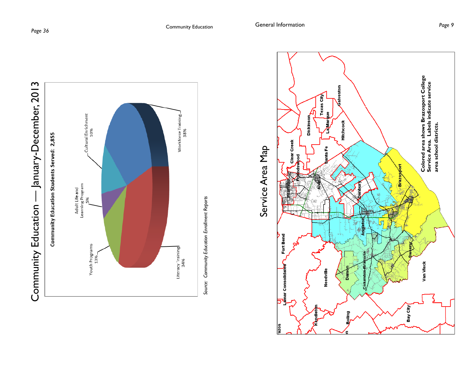



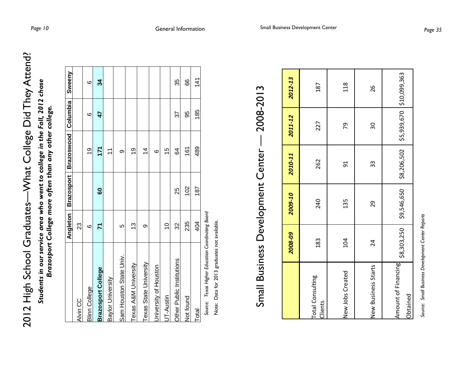| Vhat College Did They Attend: |  |
|-------------------------------|--|
|                               |  |
| V-chool Graduates-V           |  |
|                               |  |
|                               |  |

*Students in our service area who went to college in the Fall, 2012 chose*  Students in our service area who went to college in the Fall, 2012 chose *Brazosport College more often than any other college.*  Brazosport College more often than any other college.

|                                                     | <b>Angleton</b> | Brazosport | Brazoswood Columbia |     | Sweeny |
|-----------------------------------------------------|-----------------|------------|---------------------|-----|--------|
| Alvin CC                                            | 23              |            |                     |     |        |
| <b>Blinn College</b>                                | ဖ               |            | <u>6</u>            | ဖ   | ဖ      |
| <b>Brazosport College</b>                           | 71              | 8          | 171                 | 47  | ೫      |
| Baylor University                                   |                 |            | 7                   |     |        |
| Sam Houston State Univ.                             | Ю               |            | $\circ$             |     |        |
| Texas A&M University                                | 13              |            | <u>ဝှ</u>           |     |        |
| Texas State University                              | တ               |            | $\overline{4}$      |     |        |
| University of Houston                               |                 |            | $\circ$             |     |        |
| UT-Austin                                           | $\widetilde{C}$ |            | 15                  |     |        |
| Other Public Institutions                           | 32              | 25         | 84                  | 37  | 35     |
| Not found                                           | 235             | 102        | 161                 | 95  | 8      |
| Total                                               | 404             | 187        | 489                 | 185 | 141    |
| rica raite it is it is out in a define the context. |                 |            |                     |     |        |

*Source: Texas Higher Education Coordinating Board*  Texas Higher Education Coordinating Board Source:

Note: Data for 2013 graduates not available. Note: Data for 2013 graduates not available.

## Small Business Development Center — 2008-2013 2008-2013 Small Business Development Center-

|                                    | 2008-09 | 2009-10                                                              | 2010-11 | 2011-12 | 2012-13 |
|------------------------------------|---------|----------------------------------------------------------------------|---------|---------|---------|
| <b>Total Consulting</b><br>Clients | 183     | 240                                                                  | 262     | 227     | 187     |
| New Jobs Created                   | 104     | 135                                                                  | 51      | 79      | 118     |
| New Business Starts                | 24      | 29                                                                   | 33      | 30      | 26      |
| Amount of Financing<br>Obtained    |         | \$8,303,250   \$9,546,650   \$8,206,502   \$5,939,670   \$10,099,363 |         |         |         |

Source: Small Business Development Center Reports *Source: Small Business Development Center Reports*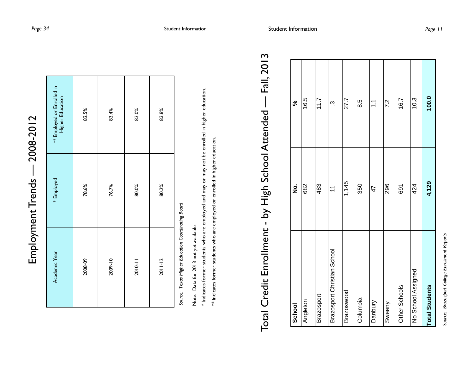| Ì              |
|----------------|
| í              |
|                |
| י<br>י         |
| í              |
| <b>100-300</b> |
|                |
|                |
|                |
| .rend'         |
|                |
|                |
| nant           |
|                |
|                |
|                |
|                |
| į              |
|                |

| Academic Year | * Employed | ** Employed or Enrolled in<br>Higher Education |
|---------------|------------|------------------------------------------------|
| 2008-09       | 78.6%      | 82.5%                                          |
| 2009-10       | 76.7%      | 83.4%                                          |
| 2010-11       | 80.0%      | 83.0%                                          |
| $2011 - 12$   | 80.2%      | 83.8%                                          |

Source: Texas Higher Education Coordinating Board *Source: Texas Higher Education Coordinating Board* 

Note: Data for 2013 not yet available. Note: Data for 2013 not yet available.

\* Indicates former students who are employed and may or may not be enrolled in higher education. \* Indicates former students who are employed and may or may not be enrolled in higher education.

\*\* Indicates former students who are employed or enrolled in higher education. \*\* Indicates former students who are employed or enrolled in higher education.

# Fall, 2013 Total Credit Enrollment - by High School Attended — Fall, 2013 Total Credit Enrollment - by High School Attended -

| School                      | $\dot{\mathbf{z}}$ | ಸಿ          |
|-----------------------------|--------------------|-------------|
| Angleton                    | 682                | 16.5        |
| Brazosport                  | 483                | 11.7        |
| Brazosport Christian School | $\tilde{t}$        | <b>ب</b>    |
| Brazoswood                  | 1,145              | 27.7        |
| Columbia                    | 350                | 8.5         |
| Danbury                     | 47                 | $\tilde{=}$ |
| Sweeny                      | 296                | 7.2         |
| Other Schools               | 691                | 16.7        |
| No School Assigned          | 424                | 10.3        |
| <b>Total Students</b>       | 4,129              | 100.0       |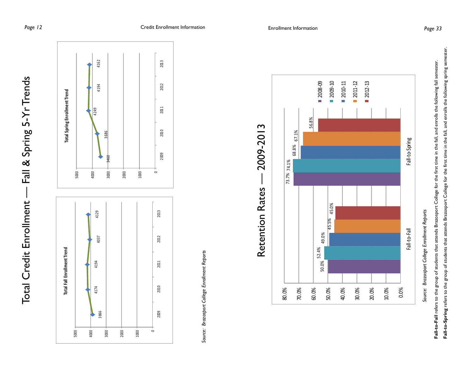

*Source: Brazosport College Enrollment Reports*  Source: Brazosport College Enrollment Reports



Fall-to-Spring refers to the group of students that attends Brazosport College for the first time in the fall, and enrolls the following spring semester. **Fall-to-Fall** refers to the group of students that attends Brazosport College for the first time in the fall, and enrolls the following fall semester. Fall-to-Fall refers to the group of students that attends Brazosport College for the first time in the fall, and enrolls the following fall semester.

**Fall-to-Spring** refers to the group of students that attends Brazosport College for the first time in the fall, and enrolls the following spring semester.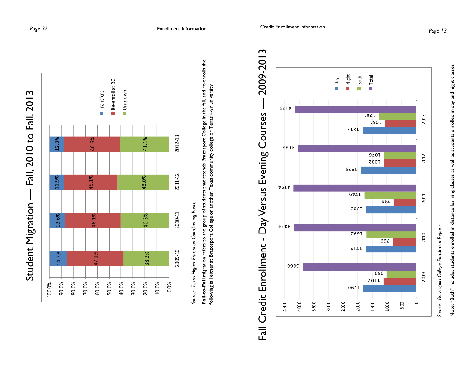



*Source: Texas Higher Education Coordinating Board*  Source: Texas Higher Education Coordinating Board

**Fall-to-Fall** migration refers to the group of students that attends Brazosport College in the fall, and re-enrolls the Fall-to-Fall migration refers to the group of students that attends Brazosport College in the fall, and re-enrolls the following fall either at Brazosport College or another Texas community college or Texas 4-yr university. following fall either at Brazosport College or another Texas community college or Texas 4-yr university,



*Source: Brazosport College Enrollment Reports*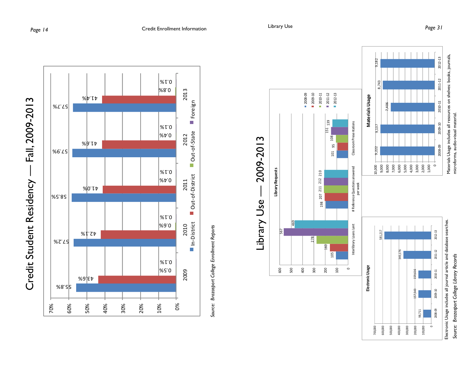







700,000 600,000 500,000 400,000 300,000 200,000 100,000

*Source: Brazosport College Library Records*  Source: Brazosport College Library Records

 $\circ$ 

microforms, audio-visual material.

microforms, audio-visual material.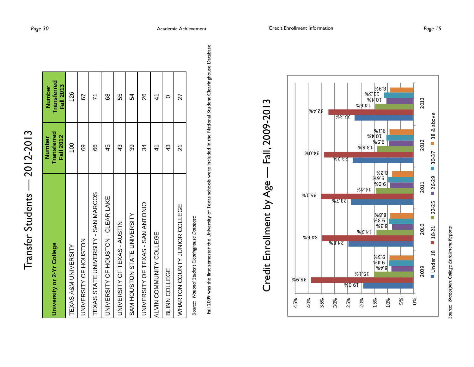| ۔<br>م                |
|-----------------------|
|                       |
|                       |
| Ī                     |
|                       |
| $\frac{1}{6}$         |
|                       |
|                       |
| į                     |
|                       |
| פסי<br>$\overline{ }$ |
| ί                     |
|                       |
|                       |
| I                     |
|                       |
| $\frac{1}{2}$         |
|                       |
| ĭ                     |
|                       |
|                       |
|                       |

| University or 2-Yr College          | <b>Transferred</b><br><b>Fall 2012</b><br>Number | <b>Transferred</b><br><b>Fall 2013</b><br>Number |
|-------------------------------------|--------------------------------------------------|--------------------------------------------------|
| TEXAS A&M UNIVERSITY                | $\frac{0}{0}$                                    | 126                                              |
| UNIVERSITY OF HOUSTON               | 89                                               | 52                                               |
| TEXAS STATE UNIVERSITY - SAN MARCOS | 89                                               | 71                                               |
| UNIVERSITY OF HOUSTON - CLEAR LAKE  | 45                                               | 89                                               |
| UNIVERSITY OF TEXAS - AUSTIN        | 43                                               | 55                                               |
| SAM HOUSTON STATE UNIVERSITY        | 39                                               | 54                                               |
| <b>DINDERSITY OF TEST HOMEN AND</b> | 34                                               | 88                                               |
| ALVIN COMMUNITY COLLEGE             | 4                                                | 4                                                |
| BLINN COLLEGE                       | 43                                               | c                                                |
| WHARTON COUNTY JUNIOR COLLEGE       | ম                                                | 27                                               |
|                                     |                                                  |                                                  |

Source: National Student Clearinghouse Database *Source: National Student Clearinghouse Database* 

Fall 2009 was the first semester the University of Texas schools were included in the National Student Clearinghouse Database. Fall 2009 was the first semester the University of Texas schools were included in the National Student Clearinghouse Database.



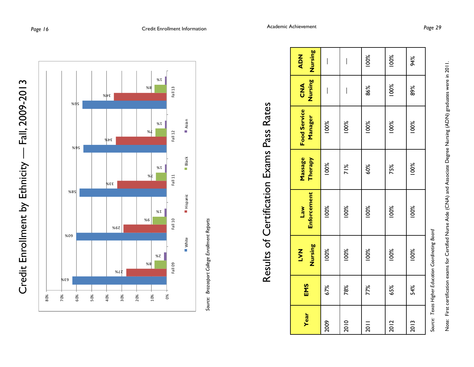



# Results of Certification Exams Pass Rates Results of Certification Exams Pass Rates

| Year | EMS | Nursing<br><b>TAN</b>                                                                                           | Enforcement<br>$w_{c}$ | <b>Massage</b><br>Therapy | <b>Food Service</b><br>Manager | Nursing<br>$rac{d}{d}$   | Nursing<br><b>ADN</b> |
|------|-----|-----------------------------------------------------------------------------------------------------------------|------------------------|---------------------------|--------------------------------|--------------------------|-----------------------|
| 2009 | 67% | 100%                                                                                                            | 100%                   | 100%                      | 100%                           | $\overline{\phantom{a}}$ | I                     |
| 2010 | 78% | 100%                                                                                                            | 100%                   | $\frac{8}{10}$            | 100%                           | ۱                        | I                     |
| 2011 | 77% | 100%                                                                                                            | 100%                   | 60%                       | 100%                           | 86%                      | 100%                  |
| 2012 | 65% | 100%                                                                                                            | 100%                   | 75%                       | 100%                           | 100%                     | 100%                  |
| 2013 | 54% | 100%                                                                                                            | 100%                   | 100%                      | 100%                           | 89%                      | 94%                   |
|      |     | Common Teacher Heading Constitution Constitution of the Constitution of the Constitution of the Constitution of |                        |                           |                                |                          |                       |

Source: Texas Higher Education Coordinating Board S*ource: Texas Higher Education Coordinating Board*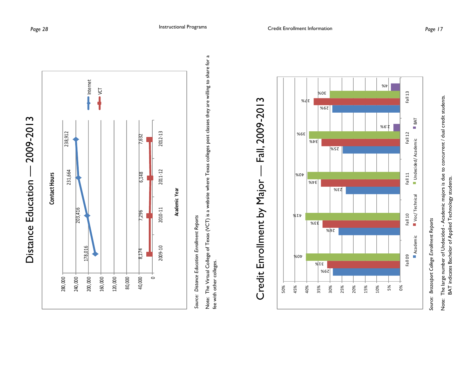



Source: Distance Education Enrollment Reports *Source: Distance Education Enrollment Reports* 

Note: The Virtual College of Texas (VCT) is a website where Texas colleges post classes they are willing to share for a Note: The Virtual College of Texas (VCT) is a website where Texas colleges post classes they are willing to share for a<br>fee with other colleges. fee with other colleges.



### Credit Enrollment by Major — Fall, 2009-2013 Fall, 2009-2013 J. Credit Enrollment by Major

*Source: Brazosport College Enrollment Reports*

Note: The large number of Undecided - Academic majors is due to concurrent / dual credit students.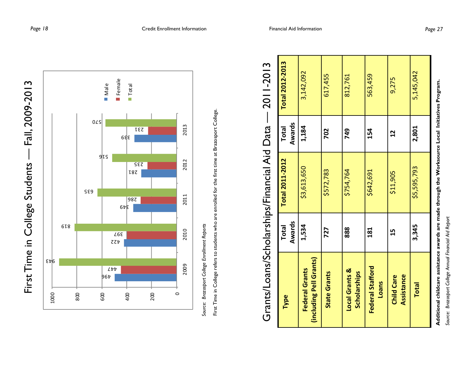



*Source: Brazosport College Enrollment Reports* 

| Type                                             | Awards<br><b>Total</b> | <b>Total 2011-2012</b> | Awards<br><b>Total</b> | <b>Total 2012-2013</b> |
|--------------------------------------------------|------------------------|------------------------|------------------------|------------------------|
| (including Pell Grants)<br><b>Federal Grants</b> | 1,534                  | \$3,613,650            | 1,184                  | 3,142,092              |
| <b>State Grants</b>                              | 727                    | \$572,783              | 702                    | 617,455                |
| <b>Local Grants &amp;</b><br><b>Scholarships</b> | 888                    | \$754,764              | 749                    | 812,761                |
| Federal Stafford<br><b>Loans</b>                 | 181                    | \$642,691              | 154                    | 563,459                |
| Assistance<br><b>Child Care</b>                  | 15                     | \$11,905               | $\mathbf{r}$           | 9,275                  |
| <b>Total</b>                                     | 3,345                  | \$5,595,793            | 2,801                  | 5,145,042              |

### Grants/Loans/Scholarships/Financial Aid Data — 2011-2013 **2105110C** cans/Scholarshins/Financial Aid Data Grants/I

**Additional childcare assistance awards are made through the Worksource Local Initiatives Program.**  Additional childcare assistance awards are made through the Worksource Local Initiatives Program. Source: Brazosport College Annual Financial Aid Report *Source: Brazosport College Annual Financial Aid Report*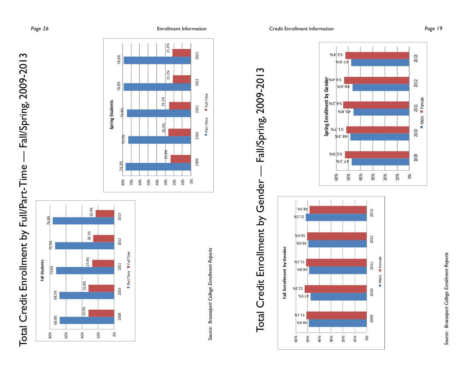**Page 26** Enrollment Information











0%

2010

2009

0<br>■ Male ■ Female

2013

2012

Male Female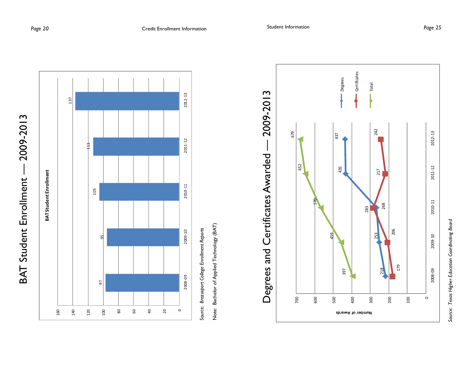



Brazosport College Enrollment Reports *Source: Brazosport College Enrollment Reports*  Source: Note: Bachelor of Applied Technology (BAT) Note: Bachelor of Applied Technology (BAT)



Source: Texas Higher Education Coordinating Board *Source: Texas Higher Education Coordinating Board*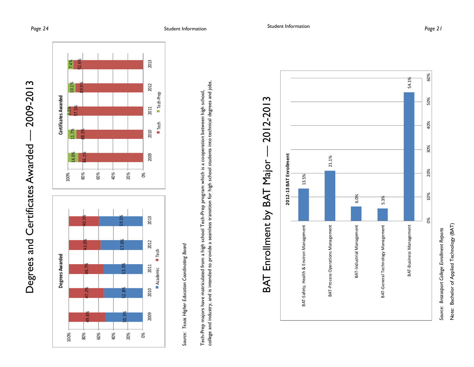



*Source: Texas Higher Education Coordinating Board*  Source: Texas Higher Education Coordinating Board

college and industry, and is intended to provide a seamless transition for high school students into technical degrees and jobs. college and industry, and is intended to provide a seamless transition for high school students into technical degrees and jobs. Tech-Prep majors have matriculated from a high school Tech-Prep program which is a cooperation between high school, Tech-Prep majors have matriculated from a high school Tech-Prep program which is a cooperation between high school,



Note: Bachelor of Applied Technology (BAT) *Source: Brazosport College Enrollment Reports* 

Note: Bachelor of Applied Technology (BAT)